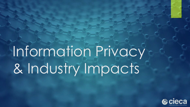# Information Privacy & Industry Impacts

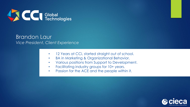

## Brandon Laur *Vice President, Client Experience*

- 12 Years at CCi, started straight out of school.
- BA in Marketing & Organizational Behavior.
- Various positions from Support to Development.
- Facilitating industry groups for 10+ years.
- Passion for the ACE and the people within it.

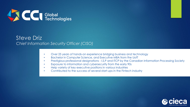

## Steve Driz *Chief Information Security Officer (CISO)*

- Over 25 years of hands-on experience bridging business and technology
- Bachelor in Computer Science, and Executive MBA from the UofT
- Prestigious professional designations I.S.P and ITCP by the Canadian Information Processing Society
- Exposure to information and cybersecurity from the early 90s
- Help variety of key executive positions in various industries
- Contributed to the success of several start-ups in the Fintech industry

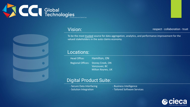



### Vision:

respect - collaboration - trust

To be the most trusted source for data aggregation, analytics, and performance improvement for the valued stakeholders in the auto claims economy.

### Locations:

Head Office: Hamilton, ON Regional Offices: Stoney Creek, ON Vancouver, BC Milton Keynes, UK

## Digital Product Suite:

- Secure Data Interfacing **Canadian Constructs** Business Intelligence
- 
- 
- Solution Integration **Access 2018** Tailored Software Services

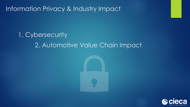Information Privacy & Industry Impact

## 1. Cybersecurity 2. Automotive Value Chain Impact

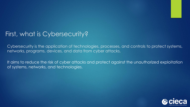## First, what is Cybersecurity?

Cybersecurity is the application of technologies, processes, and controls to protect systems, networks, programs, devices, and data from cyber attacks.

It aims to reduce the risk of cyber attacks and protect against the unauthorized exploitation of systems, networks, and technologies.

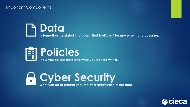#### Important Components







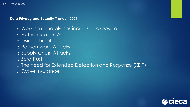#### **Data Privacy and Security Trends - 2021**

- o Working remotely has increased exposure
- o Authentication Abuse
- o Insider Threats
- o Ransomware Attacks
- o Supply Chain Attacks
- o Zero Trust
- o The need for Extended Detection and Response (XDR)
- o Cyber Insurance

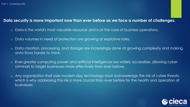#### **Data security is more important now than ever before as we face a number of challenges.**

- o Data is the world's most valuable resource and is at the core of business operations.
- o Data volumes in need of protection are growing at explosive rates.
- o Data creation, processing, and storage are increasingly done at growing complexity and making data flows harder to track.
- o Ever-greater computing power and artificial intelligence are widely accessible, allowing cyber criminals to target businesses more effectively than ever before.
- o Any organization that uses modern day technology must acknowledge the risk of cyber threats, which is why addressing this risk is more crucial than ever before for the health and operation of businesses.

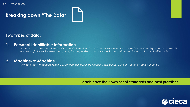## **Breaking down "The Data"**



#### **Two types of data:**

#### **1. Personal Identifiable Information**

*Any data that can be used to identify a specific individual. Technology has expanded the scope of PII considerably. It can include an IP address, login IDs, social media posts, or digital images. Geolocation, biometric, and behavioral data can also be classified as PII.*

#### **2. Machine-to-Machine**

*Any data that is produced from the direct communication between multiple devises using any communication channel.* 

**…each have their own set of standards and best practises.** 

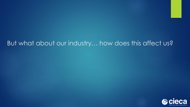## But what about our industry… how does this affect us?

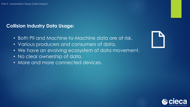## **Collision Industry Data Usage:**

- Both PII and Machine-to-Machine data are at risk.
- Various producers and consumers of data.
- We have an evolving ecosystem of data movement.
- No clear ownership of data.
- More and more connected devices.



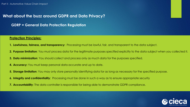#### **What about the buzz around GDPR and Data Privacy?**

**GDRP = General Data Protection Regulation**

#### **Protection Principles:**

- **1. Lawfulness, fairness, and transparency:** Processing must be lawful, fair, and transparent to the data subject.
- **2. Purpose limitation**: You must process data for the legitimate purposes specified explicitly to the data subject when you collected it.
- **3. Data minimization**: You should collect and process only as much data for the purposes specified.
- **4. Accuracy:** You must keep personal data accurate and up to date.
- **5. Storage limitation**: You may only store personally identifying data for as long as necessary for the specified purpose.
- **6. Integrity and confidentiality**: Processing must be done in such a way as to ensure appropriate security
- **7. Accountability**: The data controller is responsible for being able to demonstrate GDPR compliance.

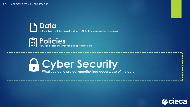

**Information translated into a form that is efficient for movement or processing.**



## *Cyber Security*

**What you do to protect unauthorized access/use of the data.**

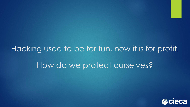## Hacking used to be for fun, now it is for profit. How do we protect ourselves?

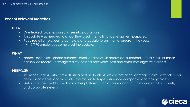#### **Recent Relevant Breaches**

#### **HOW:**

- One leaked folder exposed 91 sensitive databases.
- An update was needed to a tool they used internally for development purposes.
- Required all employees to complete and update to an internal program they use.
	- 0/170 employees completed the update.

#### **WHAT:**

• Names, addresses, phone numbers, email addresses, IP addresses, automobile details, VIN numbers, car service records, damage claims, hashed passwords, text and email messages with clients.

#### **PURPOSE:**

- Insurance scams, with criminals using personally identifiable information, damage claims, extended car details, and dealer and warranty information to target insurance companies and policyholders.
- Details can be used to break into other platforms such as bank accounts, personal email accounts, and corporate systems.

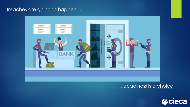## Breaches are going to happen…



## …readiness is a choice!

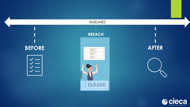

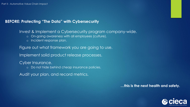#### **BEFORE: Protecting "The Data" with Cybersecurity**

Invest & Implement a Cybersecurity program company-wide. o On-going awareness with all employees (culture). o Incident response plan. Figure out what framework you are going to use. Implement solid product release processes. Cyber Insurance. o Do not hide behind cheap insurance policies.

Audit your plan, and record metrics.

**…this is the next health and safety.** 

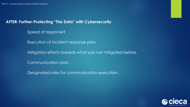#### **AFTER: Further-Protecting "The Data" with Cybersecurity**

Speed of response?

Execution of incident response plan.

Mitigation efforts towards what was not mitigated before.

Communication plan.

Designated roles for communication execution.

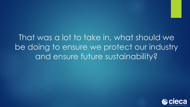That was a lot to take in, what should we be doing to ensure we protect our industry and ensure future sustainability?

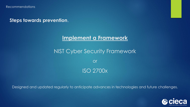**Steps towards prevention**.

## **Implement a Framework**

## NIST Cyber Security Framework

or ISO 2700x

Designed and updated regularly to anticipate advances in technologies and future challenges.

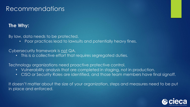## Recommendations

## **The Why:**

By law, data needs to be protected.

• Poor practices lead to lawsuits and potentially heavy fines.

#### Cybersecurity framework is not QA.

• This is a collective effort that requires segregated duties.

Technology organizations need proactive protective control.

- Vulnerability analysis that are completed in staging, not in production.
- CISO or Security Roles are identified, and those team members have final signoff.

It doesn't matter about the size of your organization, steps and measures need to be put in place and enforced.

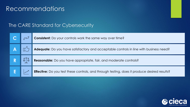## Recommendations

## The CARE Standard for Cybersecurity

|  | <b>Consistent:</b> Do your controls work the same way over time?                             |
|--|----------------------------------------------------------------------------------------------|
|  | Adequate: Do you have satisfactory and acceptable controls in line with business need?       |
|  | Reasonable: Do you have appropriate, fair, and moderate controls?                            |
|  | Effective: Do you test these controls, and through testing, does it produce desired results? |

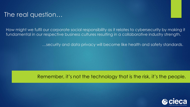## The real question…

How might we fulfil our corporate social responsibility as it relates to cybersecurity by making it fundamental in our respective business cultures resulting in a collaborative industry strength.

…security and data privacy will become like health and safety standards.

## Remember, it's not the technology that is the risk, it's the people.